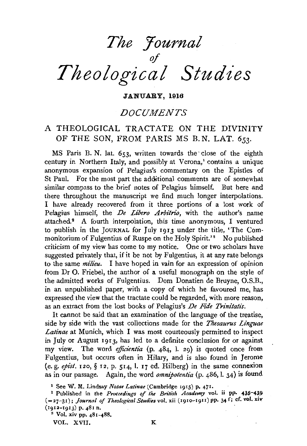# *The :Journal of Theological Studies*

#### JANUARY, 1916

# *DOCUMENTS*

## A THEOLOGICAL TRACTATE ON THE DIVINITY OF THE SON, FROM PARIS MS B. N. LAT. *653.*

MS Paris B. N. lat. 653, written towards the· close of the eighth century in Northern Italy, and possibly at Verona,' contains a unique anonymous expansion of Pelagius's commentary on the Epistles of St Paul. For the most part the additional comments are of somewhat similar compass to the brief notes of Pelagius himself. But here and there throughout the manuscript we find much longer interpolations. I have already recovered from it three portions of a lost work of Pelagius himself, the *De Libero Arbitrio*, with the author's name attached.<sup>2</sup> A fourth interpolation, this time anonymous, I ventured to publish in the JOURNAL for July 1913 under the title, 'The Commonitorium of Fulgentius of Ruspe on the Holy Spirit.'<sup>8</sup> No published criticism of my view has come to my notice. One or two scholars have suggested privately that, if it be not by Fulgentius, it at any rate belongs to the same *milieu.* I have hoped in vain for an expression of opinion from Dr 0. Friebel, the author of a useful monograph on the style of the admitted works of Fulgentius. Dom Donatien de Bruyne, O.S.B., in an unpublished paper, with a copy of which he favoured me, has expressed the view that the tractate could be regarded, with more reason, as an extract from the lost books of Pelagius's *De Fide Trinitatis*.

It cannot be said that an examination of the language of the treatise, side by side with the vast collections made for the *Thesaurus Linguae Latinae* at Munich, which I was most courteously permitted to inspect in July or August 1913, has led to a definite conclusion for or against my view. The word *efficientia* (p. 484, l. 29) is quoted once from Fulgentius, but occurs often in Hilary, and is also found in Jerome (e. g. *epist.* 12o, § 12, p. 514, I. 17 ed. Hilberg) in the same connexion as in our passage. Again, the word *omnipotentia* (p. 486, I. 34) is found

VOL. XVII. K

<sup>1</sup> See W. M. Lindsay *Notae Latinae* (Cambridge 1915) p. 471. 2 Published in the *Proceedings of the British Academy* vol. ii PP• 435-43.g ( =27-31); *Journal of Theological Studies* vol. xii (1910-19II) pp. 34 f; cf. vol. xiv (1912-1913) p.  $481$  n.<br><sup>3</sup> Vol. xiv pp.  $481-488$ .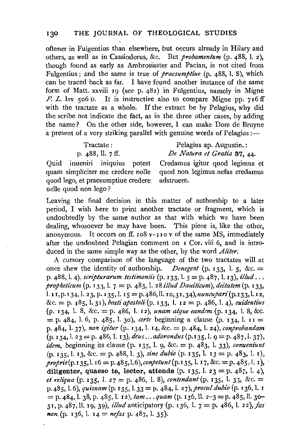oftener in Fulgentius than elsewhere, but occurs already in Hilary and others, as well as in Cassiodorus, &c. But *probamentum* (p. 488, 1. 2), though found as early as Ambrosiaster and Pacian, is not cited from Fulgentius; and the same is true of *praesumptiue* (p. 488, 1. 8), which can be traced back as far. I have found another instance of the same form of Matt. xxviii  $I_9$  (see p. 482) in Fulgentius, namely in Migne *P. L.* lxv  $\zeta$  of D. It is instructive also to compare Migne pp. 716 ff with the tractate as a whole. If the extract be by Pelagius, why did the scribe not indicate the fact, as in the three other cases, by adding the name? On the other side, however, I can make Dom de Bruyne a present of a very striking parallel with genuine words of Pelagius :-

| Tractate:         |  | Pelagius ap. Augustin.:                               |  |  |  |  |  |
|-------------------|--|-------------------------------------------------------|--|--|--|--|--|
| p. 488, ll. 7 ff. |  | De Natura et Gratia 37, 44.                           |  |  |  |  |  |
|                   |  | ueniri iniquius potest Credamus igitur quod legimus e |  |  |  |  |  |

Quid int quam simpliciter me credere nolle quod non legimus nefas credamus quod lego, et praesumptiue credere adstruere. uelle quod non lego?

Leaving the final decision in this matter of authorship to a later period, I wish here to print another tractate or fragment, which is undoubtedly by the same author as that with which we have been dealing, whosoever he may have been. This piece is, like the other, anonymous. It occurs on ff.  $108y-110y$  of the same MS, immediately after the undoubted Pelagian comment on I Cor. viii 6, and is introduced in the same simple way as the other, by the word *Aliter.* 

A cursory comparison of the language of the two tractates will at once shew the identity of authorship. *Denegent* (p. 133, l. 5, &c.  $=$ p. 488, 1. 4), *scripturarum testimoniis* (p. I33, 1. 5 = p. 487, 1. I3), *illud .* .. *propheticum* (p. I33, 1. 7 = p. 483, 1. 28 *illud Dauiticum), dez'tatem* (p. I33, I. II, p. r 34, 1. 23, p. 135, 1. IS= p.486, 11. ro, 31, *34),nuncupari* (p.I33, 1. 12, &c. = p. 485, 1. 3 I), *beati apostoli* (p. 133, 1. I 2 = p. 486, 1. 4), *euidentius*  (p. 134, 1. 8, &c.= p. 486, 1. 12), *unam atque eandem* (p. I34• 1. 8, &c.  $=$  p. 484, l. 6, p. 485, l. 30), *certe* beginning a clause (p. 134, l. II = p. 484, 1. 37), *non igitur* (p. 134, 1. 14, &c.= p. 484, l. 24), *conprobandam*  (p. I34• 1. 23 =p. 486,1. 13), *deus ... adorandus(p.135,* 1. 9 =p.487,l. 37), *idem,* beginning its clause (p. 135, 1. 9, &c.= p. 483, 1. 33), *conueniunt*  (p. 135, 1. 13, &c. = p. 488, 1. 3), *sine dubio* (p. I35• 1. 13 = p. 483, 1. r), *proprie(p.135,* 1. r6 = p. 485, *1.6),conpetunt* (p.135, 1. I 7, &c.= p. 485, l. I), diligenter, quaeso te, lector, attende  $(p. 135, 1.23 = p. 487, 1.4)$ *et reliqua* (p. 135, 1. 27 = p. 486, 1. 8), *contendant* (p. 135, 1. 33, &c. = p.485, 1.6), *quisnam(p.* I35, l.33 =p. 484, 1. *27),procul dubio* (p.I36,l. I  $=$  p. 484, l. 38, p. 485, l. 12),  $\tan \ldots \text{ quantum (p. 136, ll. 2-3= p. 485, ll. 30-11)}$ 31, p. 487·, 11. 19, 39), *illud* anticipatory (p. 136, 1. 7 = p. 486, 1. *22),jas non* (p. 136, l. 14 = *nefas* p. 487, l. 35).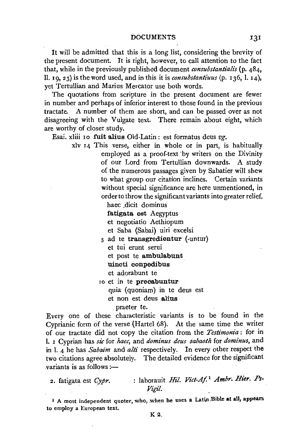It will be admitted that this is a long list, considering the brevity of the present document. It is right, however, to call attention to the fact that, while in the previously published document *consubstantialis* (p. 484, ll. 19, 23) is the word used, and in this it is *consubstantiuus* (p. 136, I. 14), yet Tertullian and Marius Mercator use both words.

The quotations from scripture in the present document are fewer in number and perhaps of inferior interest to those found in the previous tractate. A number of them are short, and can be passed over as not disagreeing with the Vulgate text. There remain about eight, which are worthy of closer study.

Esai. xliii 10 fuit alius Old-Latin: est formatus deus vg.

xlv 14 This verse, either in whole or in part, is habitually employed as a proof-text 'by writers on the Divinity of our Lord from Tertullian downwards. A study of the numerous passages given by Sabatier will shew to what group our citation inclines. Certain variants without special significance are here unmentioned, in order to throw the significant variants into greater relief.

haec dicit dominus

fatigata est Aegyptus

et negotiatio Aethiopum

et Saba (Sabai) uiri excelsi

5 ad te transgredientur (-untur)

et tui erunt serui

et post te ambulabunt

uincti conpedibus

et adorabunt te

10 et in te precabuntur

quia (quoniam) in te deus est

et non est deus alius

praeter te.

Every one of these characteristic variants is to be found in the Cyprianic form of the verse (Hartel 68). At the same time the writer of our tractate did not copy the citation from the *Testimonia* : for in I. 1 Cyprian.has *sic* for *haec,* and *dominus deus sabaoth* for *dominus,* and in I. 4 he has *Sabaim* and *alti* respectively. In every other respect the two citations agree absolutely. The detailed evidence for the significant  $variance$  is as follows : $-$ 

2. fatigata est *Cypr.* : laborauit *Hil. Viet-A/* <sup>1</sup>*Ambr. Bier. Ps-Vigil.* 

<sup>1</sup> A most independent quoter, who, when he uses a Latin Bible at all, appears to employ a European text.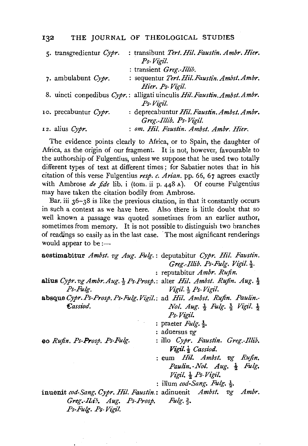#### 132 THE JOURNAL OF THEOLOGICAL STUDIES

| 5. transgredientur Cypr. | : transibunt Tert. Hil. Faustin. Ambr. Hier.                             |
|--------------------------|--------------------------------------------------------------------------|
|                          | Ps-Vigil.                                                                |
|                          | : transient Greg.-Illib.                                                 |
| 7. ambulabunt $Cypr$ .   | : sequentur Tert. Hil. Faustin. Ambst. Ambr.                             |
|                          | Hier. Ps-Vigil.                                                          |
|                          | 8. uincti conpedibus Cypr.: alligati uinculis Hil. Faustin. Ambst. Ambr. |
|                          | Ps-Vigil.                                                                |
| 10. precabuntur Cypr.    | : deprecabuntur Hil. Faustin. Ambst. Ambr.                               |
|                          | Greg.-Illib. Ps-Vigil.                                                   |
| 12. alius $Cypr$ .       | : om. Hil. Faustin. Ambst. Ambr. Hier.                                   |
|                          |                                                                          |

The evidence points clearly to Africa, or to Spain, the daughter of Africa, as the origin of our fragment. It is not, however, favourable to the authorship of Fulgentius, unless we suppose that he used two totally different types of text at different times ; for Sabatier notes that in his citation of this verse Fulgentius *resp. c. Arian.* pp. 66, 67 agrees exactly with Ambrose *de fide* lib. i (tom. ii p. 448 A). Of course Fulgentius may have taken the citation bodily from Ambrose.

Bar. iii  $36 - 38$  is like the previous citation, in that it constantly occurs in such a context as we have here. Also there is little doubt that so well known a passage was quoted sometimes from an earlier author, sometimes from memory. It is not possible to distinguish two branches of readings so easily as in the last case. The most significant renderings would appear to be  $:=$ 

| aestimabitur Ambst. vg Aug. Fulg.: deputabitur Cypr. Hil. Faustin.                             |                                                                         |
|------------------------------------------------------------------------------------------------|-------------------------------------------------------------------------|
|                                                                                                | Greg. Illib. Ps-Fulg. Vigil. 3.                                         |
|                                                                                                | : reputabitur <i>Ambr. Rufin.</i>                                       |
| alius Cypr. vg Ambr. Aug. $\frac{1}{2}$ Ps-Prosp.: alter Hil. Ambst. Rufin. Aug. $\frac{1}{2}$ |                                                                         |
| Ps-Fulg.                                                                                       | Vigil. $\frac{1}{2}$ Ps-Vigil.                                          |
| absque Cypr. Ps-Prosp. Ps-Fulg. Vigil.: ad Hil. Ambst. Rufin. Paulin.-                         |                                                                         |
| Cassiod.                                                                                       | <i>Nol. Aug.</i> $\frac{1}{2}$ Fulg. $\frac{1}{2}$ Vigil. $\frac{1}{2}$ |
|                                                                                                | Ps-Vigil.                                                               |
|                                                                                                | : praeter $Fulg. \frac{1}{2}$ .                                         |
|                                                                                                | : aduersus vg                                                           |
| eo Rufin. Ps-Prosp. Ps-Fulg.                                                                   | : illo Cypr. Faustin. Greg.-Illib.                                      |
|                                                                                                | Vigil. $\frac{1}{2}$ Cassiod.                                           |
|                                                                                                | : eum Hil. Ambst. vg Rufin.                                             |
|                                                                                                | Paulin. Nol. $Aug. \frac{1}{2}$ Fulg.                                   |
|                                                                                                | Vigil, $\frac{1}{2}$ Ps-Vigil.                                          |
|                                                                                                | : illum cod-Sang. Fulg. $\frac{1}{2}$ .                                 |
| inuenit cod-Sang. Cypr. Hil. Faustin.: adinuenit Ambst. vg Ambr.                               |                                                                         |
| Greg.-Ilib. Aug. Ps-Prosp. Fulg. $\frac{3}{3}$ .                                               |                                                                         |
| Ps-Fulg. Ps-Vigil.                                                                             |                                                                         |
|                                                                                                |                                                                         |
|                                                                                                |                                                                         |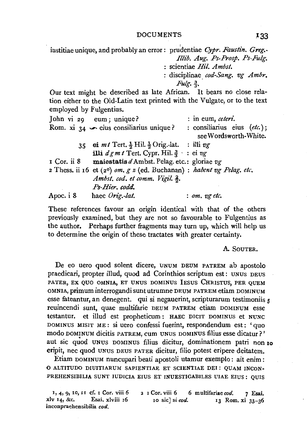### DOCUMENTS **.133**

iustitiae unique, and probably an error: prudentiae *Cypr. Faustin. Greg. Illt'b. Aug. Ps-Prosp. Ps-Fulg.*  scientiae *Hil. Ambst.*  : disciplinae cod-Sang. vg Ambr. *Fulg.* j. Our text might be described as late African. It bears no close rela-

tion either to the Old-Latin text printed with the Vulgate, or to the text employed by Fulgentius.

|             | John vi 29 eum; unique?                                                    | : in eum, ceteri.                                    |
|-------------|----------------------------------------------------------------------------|------------------------------------------------------|
|             | Rom. xi $34 \rightarrow$ eius consiliarius unique?                         | : consiliarius eius (etc.);<br>see Wordsworth-White. |
| 35          | ei mt Tert. $\frac{1}{2}$ Hil. $\frac{1}{2}$ Orig. lat. : illi vg          |                                                      |
|             | illi $dgmt$ Tert. Cypr. Hil. $\frac{3}{3}$ : ei vg                         |                                                      |
| I Cor. ii 8 | maiestatis $d$ Ambst. Pelag. etc.: gloriae $v_g$                           |                                                      |
|             | 2 Thess. ii 16 et $(2^0)$ om. $g z$ (ed. Buchanan) : habent vg Pelag. etc. |                                                      |
|             | Ambst. cod. et comm. Vigil. 2.                                             |                                                      |
|             | Ps-Hier. codd.                                                             |                                                      |
| Apoc. i 8   | haec Orig.-lat.                                                            | $:$ om, $v$ g etc.                                   |

These references favour an origin identical with that of the others previously examined, but they are not so favourable to Fulgentius as the author. Perhaps further fragments may turn up, which will help us to determine the origin of these tractates with greater certainty.

#### A. SOUTER.

De eo uero quod solent dicere, UNUM DEUM PATREM ab apostolo praedicari, propter illud, quod ad Corinthios scriptum est : UNUS DEUS PATER, EX QUO OMNIA, ET UNUS DOMINUS IESUS CHRISTUS, PER QUEM OMNIA, primum interrogandi sunt utrumne DEUM PATREM etiam DOMINUM esse fateantur, an denegent. qui si negauerint, scripturarum testimoniis 5 reuincendi sunt, quae multifarie DEUM PATREM etiam DOMINUM esse testantur. et illud est propheticum : HAEC DICIT DOMINUS et NUNC DOMINUS MISIT ME: si uero confessi fuerint, respondendum est: 'quo modo DOMINUM dicitis PATREM, cum UNUS DOMINUS filius esse dicatur?' aut sic quod UNUS DOMINUS filius dicitur, dominationem patri non 10 eripit, nee quod UNUS DEUS PATER dicitur, filio potest eripere deitatem.

Etiam DOMINUM nuncupari beati apostoli utamur exemplo : ait enim : 0 ALTITUDO DIUITIARUM SAPIENTIAE ET SCIENTIAE DEI: QUAM INCON· PREHENSIBILIA SUNT JUDICIA EIUS ET INUESTIGABILES UIAE EIUS : QUIS

1, 4, 9, 10, 11 cf. 1 Cor. viii 6 2 1 Cor. viii 6 6 multifariae cod. 7 Esai.<br>
xly 14, &c. Esai. xlyiii 16 10 sicl si cod. 13 Rom. xi 32-26 10 sic] si *cod*. 13 Rom. xi 33-36 inconpraehensibilia *cod.*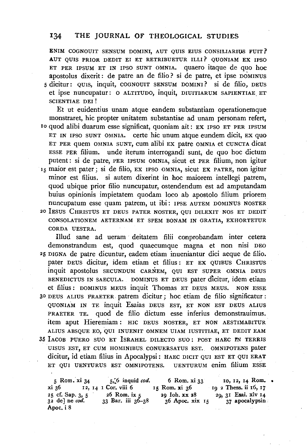### 134 THE JOURNAL OF THEOLOGICAL STUDIES

ENIM COGNOUIT SENSUM DOMINI, AUT QUIS EIUS CONSILIARIUS FUIT? AUT QUIS PRIOR DEDIT EI ET RETRIBUETUR ILLI? QUONIAM EX IPSO ET PER IPSUM ET IN IPSO SUNT OMNIA. quaero itaque de quo hoc apostolus dixerit: de patre an de filio? si de patre, et ipse DOMINUS 5 dicitur: QUIS, inquit, COGNOUIT SENSUM DOMINI? si de filio, DEUS et ipse nuncupatur: 0 ALTITUDO, inquit, DIUITIARUM SAPIENTIAE. ET SCIENTIAE DEI !

Et ut euidentius unam atque eandem substantiam operationemque monstraret, hie propter unitatem substantiae ad unam personam refert, Io quod alibi duarum esse significat, quoniam ait: EX IPSO ET PER IPSUM ET IN IPSO SUNT OMNIA. certe hie unum atque eundem dicit, EX quo ET PER quem OMNIA SUNT, cum alibi EX patre OMNIA et CUNCTA dicat ESSE PER filium. unde iterum interrogandi sunt, de quo hoc dictum putent : si de patre, PER IPSUM OMNIA, sicut et PER filium, non igitur 15 maior est pater ; si de filio, EX IPSO OMNIA, sicut EX PATRE, non igitur minor est filius. si autem dixerint in hoc maiorem intellegi patrem, quod ubique prior filio nuncupatur, ostendendum est ad amputandam huius opinionis impietatem quodam loco ab apostolo filium priorem nuncupatum esse quam patrem, ut ibi: IPSE AUTEM DOMINUS NOSTER <sup>20</sup> IESUS CHRISTUS ET DEUS PATER NOSTER, QUI DILEXIT NOS ET DEDIT CONSOLATIONEM AETERNAM ET SPEM BONAM IN GRATIA, EXHORTETUR CORDA UESTRA.

Illud sane ad ueram deitatem filii conprobandam inter cetera demonstrandum est, quod quaecumque magna et non nisi DEO 25 DIGNA de patre dicuntur, eadem etiam inueniantur dici aeque de filio. pater DEUS dicitur, idem etiam et filius: ET EX QUIBUS CHRISTUS inquit apostolus SECUNDUM CARNEM, QUI EST SUPER OMNIA DEUS BENEDICTUS IN SAECULA. DOMINUS ET DEUS pater dicitur, idem etiam et filius : DOMINUS MEUS inquit Thomas ET DEUS MEUS. NON ESSE 30 DEUS ALIUS I'RAETER. patrem dicitur; hoc etiam de filio significatur : QUONIAM IN TE inquit Esaias DEUS EST, ET NON EST DEUS ALIUS PRAETER TE. quod de filio dictum esse inferius demonstrauimus. item aput Hieremiam : HIC DEUS NOSTER, ET NON AESTIMABITUR ALIUS ABSQUE EO, QUI INUENIT OMNEM UIAM IUSTITIAE, ET DEDIT EAM 35 IACOB PUERO SUO ET ISRAHEL DILECTO SUO: POST HAEC IN TERRIS UISUS EST, ET CUM HOMINIBUS CONUERSATUS EST. OMNIPOTENS pater dicitur, id etiam filius in Apocalypsi: HAEC DICIT QUI EST ET QUI ERAT ET QUI UENTURUS EST OMNIPOTENS. UENTURUM enim filium ESSE ET QUI UENTURUS EST OMNIPOTENS.

5 Rom. xi 34 xi 36 12, 14 1 Cor, viii 6 25 cf. Sap. 3, 5<br>32 de] ne *cod*. Apoc. i 8 5,:6 inquid *cod.* 6 Rom. xi 33 15 Rom. xi 36 26 Rom. ix 5 29 Ioh. xx 28<br>33 Bar. iii 36–38 36 Apoc. xix 36 Apoc. xix 15 Io, 12, 14 Rom. • 19 2 Thess. ii 16, 17 29, 31 Esai. xlv 14 37 apocalypsin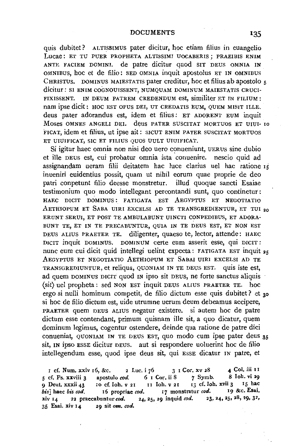quis dubitet? ALTISSIMUS pater dicitur, hoc etiam filius in euangelio Lucae: ET TU PUER PROPHETA ALTISSIMI UOCABERIS ; PRAEIBIS ENIM ANTE FACIEM DOMINI. de patre dicitur quod SIT DEUS OMNIA IN OMNIBUS, hoc et de filio: SED OMNIA inquit apostolus ET IN OMNIBUS CHRISTUS. DOMINUS MAJESTATIS pater creditur, hoc et filius ab apostolo 5 dicitur: SI ENIM COGNOUISSENT, NUMQUAM DOMINUM MAIESTATIS CRUCI-FIXISSENT. IN DEUM PATREM CREDENDUM est, similiter ET IN FILIUM : nam ipse dicit: HOC EST OPUS DEI, UT CREDATIS EUM, QUEM MISIT ILLE. deus pater adorandus est, idem et filius: ET ADORENT EUM inquit Moses OMNES ANGELI DEI. deus PATER SUSCITAT MORTUOS ET UIUI- 10 FICAT, idem et filius, ut ipse ait: SICUT ENIM PATER SUSCITAT MORTUOS ET UIUIFICAT, SIC ET FILIUS QUOS UULT UIUIFICAT.

Si igitur haec omnia non nisi deo uero conueniunt, UERUS sine dubio et ille DEUS est, cui probatur omnia ista 'conuenire. nescio quid ad assignandam ueram filii deitatem hac luce darius uel hac ratione 15 inueniri euidentius possit, quam ut nihil eorum quae proprie de deo patri conpetunt filio deesse monstretur. illud quoque sancti Esaiae testimonium quo modo intellegant percontandi sunt, quo continetur ·: HAEC DICIT DOMINUS: FATIGATA EST AEGYPTUS ET NEGOTIATIO AETHIOPUM ET SABA UIRI EXCELSI AD TE TRANSGREDIENTUR, ET TUI 20 ERUNT SERUI, ET POST TE AMBULABUNT UINCTI CONPEDIBUS, ET ADORA-BUNT TE, ET IN TE PRECABUNTUR, QUIA IN TE DEUS EST, ET NON EST DEUS ALIUS PRAETER TE. diligenter, quaeso te, lector, attende: HAEC DICIT inquit DOMINUS. DOMINUM certe eum asserit esse, qui DICIT : nunc eum cui dicit quid intellegi uelint expecta: FATIGATA EST inquit 25 AEGYPTUS ET NEGOTIATIO AETHIOPUM ET SABAI UIRI EXCELSI AD TE TRANSGREDIUNTUR, et reliqua, QUONIAM IN TE DEUS EST. quis iste est, ad quem DOMINUS DICIT quod IN ipso sit DEUS, ne forte sanctus aliquis (sit) uel propbeta: sed NON EST inquit DEUS ALIUS PRAETER TE. hoc ergo si nulli hominum competit, de filio dictum esse quis dubitet? et 30 si hoc de filio dictum est, uide utrumne uerum deum debeamus accipere, PRAETER quem DEUS ALIUS negatur existere. si autem hoc de patre dictum esse contendant, primum quisnam ille sit, a quo dicatur, quem dominum legimus, cogentur ostendere, deinde qua ratione de patre dici conueniat, QUONIAM IN TE DEUS EST, quo modo cum ipse pater deus 35 sit, IN ipso ESSE dicitur DEUS. aut si respondere uoluerint hoc de filio intellegendum esse, quod ipse deus sit, qui ESSE dicatur IN patre, et

I cf. Num. xxiv 16, &c. 2 Luc. i  $76$  3 I Cor. xv 28 4 Col. iii II<br>of Ps xxviii 2 apostulo ord 6 I Cor. ii 8 7 Symb. 8 Ioh. vi 29 5 cf. Ps. xxviii 3 apostulo cod. 6 I Cor. ii 8 7 Symb. 8 Ioh. vi 29<br>9 Deut. xxxii 43 10 cf. Ioh. v 21 11 Ioh. v 21 13 cf. Ioh. xvii 3 15 hac 9 Deut. xxxii 43 Io cf. loh. v 21 II loh. v 21 I 3 cf. loh. xvii 3 I5 hachis cod.<br>bis haec his cod. If propriae cod. If monstratur cod. I 9 & c. Esai. *his*] haec *bis cod.* 16 propriae *cod.* 17 monstratur *cod.* 19 &c. Esai.<br>
xly 14 32 praecabuntur *cod.* 24, 25, 29 inquid *cod.* 23, 24, 25, 28, 29, 32, xlv  $14$  22 praecabuntur *cod.* 24, 25, 29 inquid *cod.*  $25$ ,  $25$  inquid *cod.* 35 Esai. xlv 14